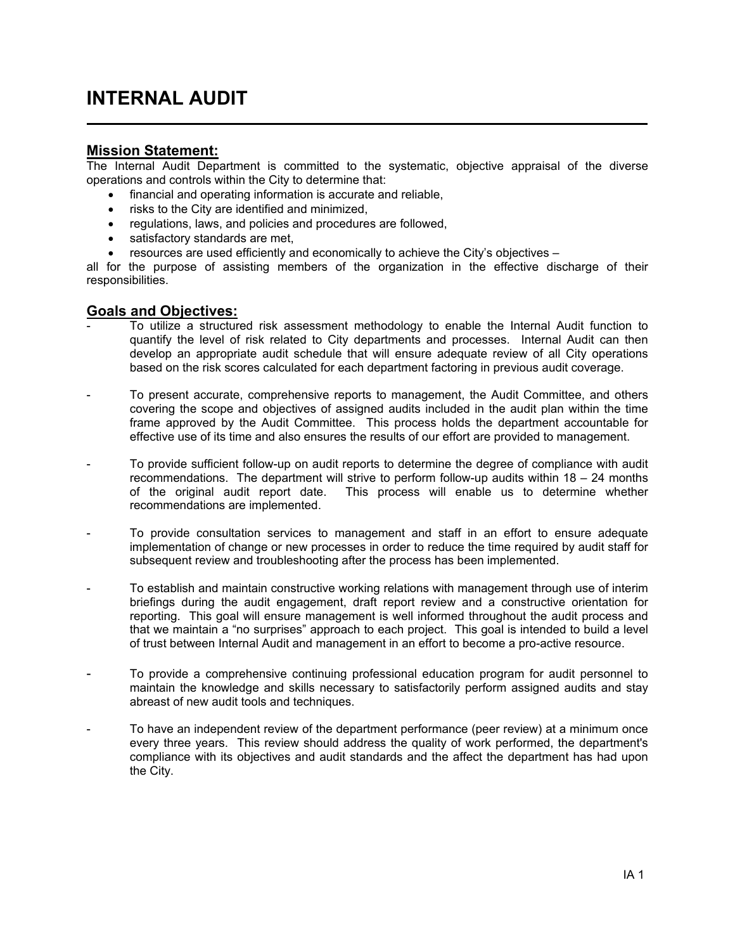# INTERNAL AUDIT

### Mission Statement:

The Internal Audit Department is committed to the systematic, objective appraisal of the diverse operations and controls within the City to determine that:

- financial and operating information is accurate and reliable,
- risks to the City are identified and minimized,
- regulations, laws, and policies and procedures are followed,
- satisfactory standards are met,
- resources are used efficiently and economically to achieve the City's objectives –

all for the purpose of assisting members of the organization in the effective discharge of their responsibilities.

#### Goals and Objectives:

- To utilize a structured risk assessment methodology to enable the Internal Audit function to quantify the level of risk related to City departments and processes. Internal Audit can then develop an appropriate audit schedule that will ensure adequate review of all City operations based on the risk scores calculated for each department factoring in previous audit coverage.
- To present accurate, comprehensive reports to management, the Audit Committee, and others covering the scope and objectives of assigned audits included in the audit plan within the time frame approved by the Audit Committee. This process holds the department accountable for effective use of its time and also ensures the results of our effort are provided to management.
- To provide sufficient follow-up on audit reports to determine the degree of compliance with audit recommendations. The department will strive to perform follow-up audits within 18 – 24 months of the original audit report date. This process will enable us to determine whether recommendations are implemented.
- To provide consultation services to management and staff in an effort to ensure adequate implementation of change or new processes in order to reduce the time required by audit staff for subsequent review and troubleshooting after the process has been implemented.
- To establish and maintain constructive working relations with management through use of interim briefings during the audit engagement, draft report review and a constructive orientation for reporting. This goal will ensure management is well informed throughout the audit process and that we maintain a "no surprises" approach to each project. This goal is intended to build a level of trust between Internal Audit and management in an effort to become a pro-active resource.
- To provide a comprehensive continuing professional education program for audit personnel to maintain the knowledge and skills necessary to satisfactorily perform assigned audits and stay abreast of new audit tools and techniques.
- To have an independent review of the department performance (peer review) at a minimum once every three years. This review should address the quality of work performed, the department's compliance with its objectives and audit standards and the affect the department has had upon the City.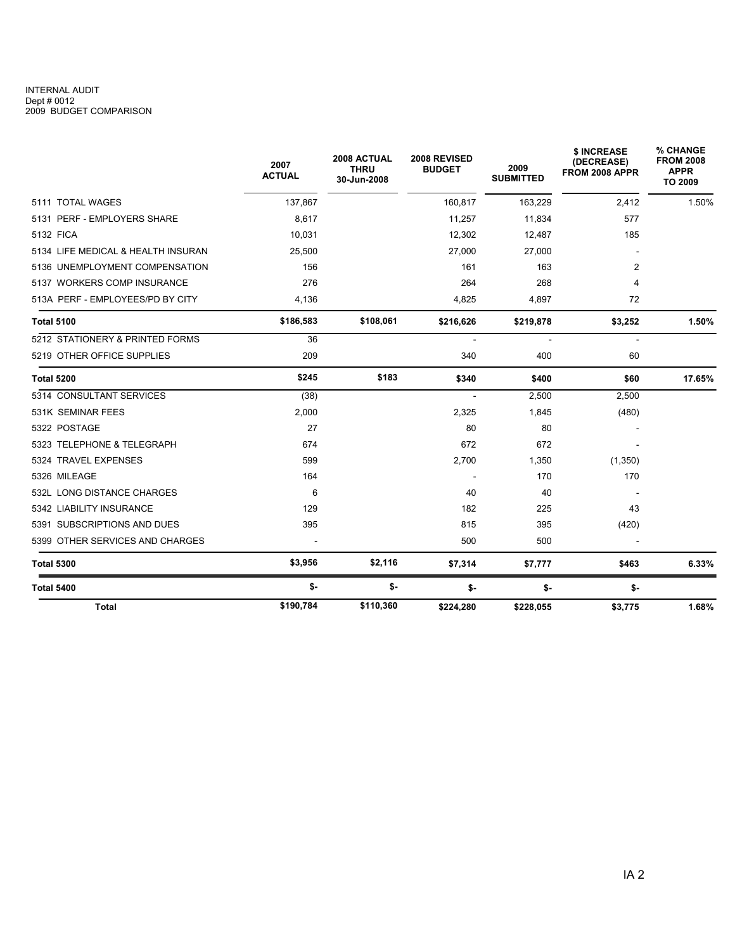#### INTERNAL AUDIT Dept # 0012 2009 BUDGET COMPARISON

|                                    | 2007<br><b>ACTUAL</b> | 2008 ACTUAL<br><b>THRU</b><br>30-Jun-2008 | 2008 REVISED<br><b>BUDGET</b> | 2009<br><b>SUBMITTED</b> | \$ INCREASE<br>(DECREASE)<br>FROM 2008 APPR | % CHANGE<br><b>FROM 2008</b><br><b>APPR</b><br><b>TO 2009</b> |  |
|------------------------------------|-----------------------|-------------------------------------------|-------------------------------|--------------------------|---------------------------------------------|---------------------------------------------------------------|--|
| 5111 TOTAL WAGES                   | 137,867               |                                           | 160,817                       | 163,229                  | 2,412                                       | 1.50%                                                         |  |
| 5131 PERF - EMPLOYERS SHARE        | 8,617                 |                                           | 11,257                        | 11,834                   | 577                                         |                                                               |  |
| 5132 FICA                          | 10,031                |                                           | 12,302                        | 12,487<br>27,000         | 185                                         |                                                               |  |
| 5134 LIFE MEDICAL & HEALTH INSURAN | 25,500                |                                           | 27,000                        |                          |                                             |                                                               |  |
| 5136 UNEMPLOYMENT COMPENSATION     | 156                   |                                           | 161                           | 163                      | $\overline{c}$                              |                                                               |  |
| 5137 WORKERS COMP INSURANCE        | 276                   |                                           | 264                           | 268                      | 4                                           |                                                               |  |
| 513A PERF - EMPLOYEES/PD BY CITY   | 4,136                 |                                           | 4,825                         | 4,897                    | 72                                          |                                                               |  |
| <b>Total 5100</b>                  | \$186,583             | \$108,061                                 | \$216,626                     | \$219,878                | \$3,252                                     | 1.50%                                                         |  |
| 5212 STATIONERY & PRINTED FORMS    | 36                    |                                           |                               |                          |                                             |                                                               |  |
| 5219 OTHER OFFICE SUPPLIES         | 209                   |                                           | 340                           | 400                      | 60                                          |                                                               |  |
| <b>Total 5200</b>                  | \$245                 | \$183                                     | \$340                         | \$400                    | \$60                                        | 17.65%                                                        |  |
| 5314 CONSULTANT SERVICES           | (38)                  |                                           |                               | 2,500                    | 2,500                                       |                                                               |  |
| 531K SEMINAR FEES                  | 2,000                 |                                           | 2,325                         | 1,845<br>80<br>672       | (480)                                       |                                                               |  |
| 5322 POSTAGE                       | 27                    |                                           | 80                            |                          |                                             |                                                               |  |
| 5323 TELEPHONE & TELEGRAPH         | 674                   |                                           | 672                           |                          |                                             |                                                               |  |
| 5324 TRAVEL EXPENSES               | 599                   |                                           | 2,700                         | 1,350                    | (1,350)                                     |                                                               |  |
| 5326 MILEAGE                       | 164                   |                                           |                               | 170                      | 170                                         |                                                               |  |
| 532L LONG DISTANCE CHARGES         | 6                     |                                           | 40                            | 40                       |                                             |                                                               |  |
| 5342 LIABILITY INSURANCE           | 129<br>395            |                                           | 182                           | 225                      | 43                                          |                                                               |  |
| 5391 SUBSCRIPTIONS AND DUES        |                       |                                           | 815                           | 395                      | (420)                                       |                                                               |  |
| 5399 OTHER SERVICES AND CHARGES    |                       |                                           | 500                           | 500                      |                                             |                                                               |  |
| <b>Total 5300</b>                  | \$3,956               | \$2,116                                   | \$7,314                       | \$7,777                  | \$463                                       | 6.33%                                                         |  |
| <b>Total 5400</b>                  | \$-                   | \$-                                       | \$-                           | \$-                      | \$-                                         |                                                               |  |
| <b>Total</b>                       | \$190,784             | \$110,360                                 | \$224,280                     | \$228,055                | \$3,775                                     | 1.68%                                                         |  |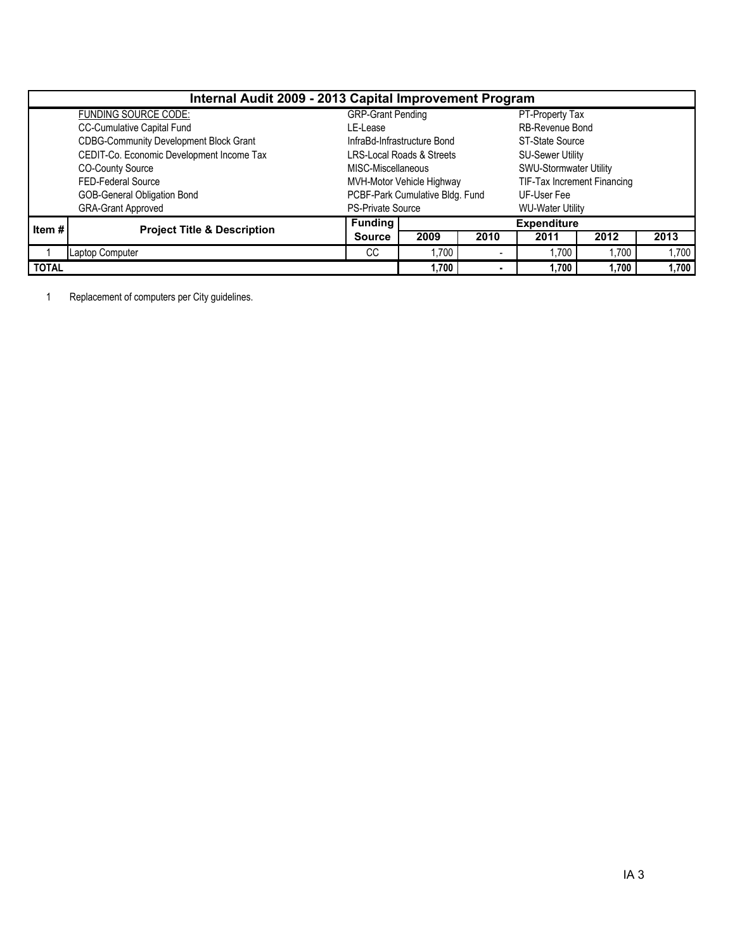| Internal Audit 2009 - 2013 Capital Improvement Program |                                               |                             |                                      |                        |                             |       |      |  |  |  |  |
|--------------------------------------------------------|-----------------------------------------------|-----------------------------|--------------------------------------|------------------------|-----------------------------|-------|------|--|--|--|--|
|                                                        | <b>FUNDING SOURCE CODE:</b>                   | <b>GRP-Grant Pending</b>    | PT-Property Tax                      |                        |                             |       |      |  |  |  |  |
|                                                        | CC-Cumulative Capital Fund                    | LE-Lease                    |                                      | <b>RB-Revenue Bond</b> |                             |       |      |  |  |  |  |
|                                                        | <b>CDBG-Community Development Block Grant</b> | InfraBd-Infrastructure Bond |                                      | <b>ST-State Source</b> |                             |       |      |  |  |  |  |
|                                                        | CEDIT-Co. Economic Development Income Tax     |                             | <b>LRS-Local Roads &amp; Streets</b> |                        | <b>SU-Sewer Utility</b>     |       |      |  |  |  |  |
|                                                        | <b>CO-County Source</b>                       | MISC-Miscellaneous          |                                      |                        | SWU-Stormwater Utility      |       |      |  |  |  |  |
|                                                        | FED-Federal Source                            |                             | MVH-Motor Vehicle Highway            |                        | TIF-Tax Increment Financing |       |      |  |  |  |  |
|                                                        | GOB-General Obligation Bond                   |                             | PCBF-Park Cumulative Bldg. Fund      |                        | UF-User Fee                 |       |      |  |  |  |  |
|                                                        | <b>GRA-Grant Approved</b>                     | <b>PS-Private Source</b>    |                                      |                        | <b>WU-Water Utility</b>     |       |      |  |  |  |  |
| Item $#$                                               |                                               | <b>Funding</b>              | <b>Expenditure</b>                   |                        |                             |       |      |  |  |  |  |
|                                                        | <b>Project Title &amp; Description</b>        | <b>Source</b>               | 2009                                 | 2010                   | 2011                        | 2012  | 2013 |  |  |  |  |
| Laptop Computer                                        |                                               | CC                          | .700                                 | 1.700<br>1.700         |                             |       |      |  |  |  |  |
| <b>TOTAL</b>                                           |                                               | 1,700                       |                                      | 1,700                  | 1,700                       | 1,700 |      |  |  |  |  |

1 Replacement of computers per City guidelines.